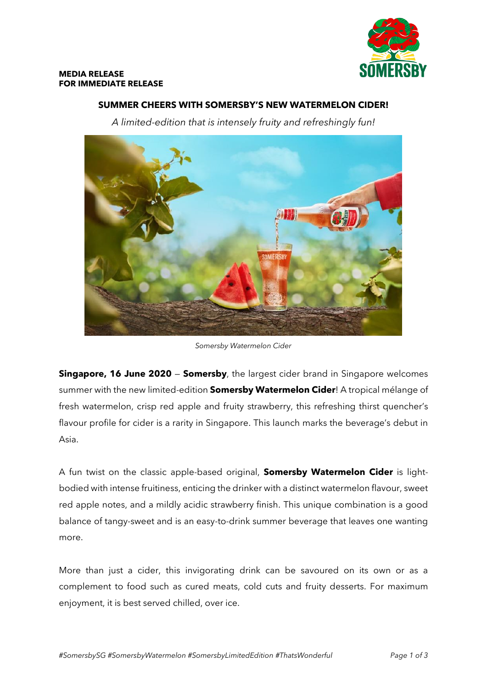

# **SUMMER CHEERS WITH SOMERSBY'S NEW WATERMELON CIDER!**

*A limited-edition that is intensely fruity and refreshingly fun!*



*Somersby Watermelon Cider*

**Singapore, 16 June 2020 – Somersby**, the largest cider brand in Singapore welcomes summer with the new limited-edition **Somersby Watermelon Cider**! A tropical mélange of fresh watermelon, crisp red apple and fruity strawberry, this refreshing thirst quencher's flavour profile for cider is a rarity in Singapore. This launch marks the beverage's debut in Asia.

A fun twist on the classic apple-based original, **Somersby Watermelon Cider** is lightbodied with intense fruitiness, enticing the drinker with a distinct watermelon flavour, sweet red apple notes, and a mildly acidic strawberry finish. This unique combination is a good balance of tangy-sweet and is an easy-to-drink summer beverage that leaves one wanting more.

More than just a cider, this invigorating drink can be savoured on its own or as a complement to food such as cured meats, cold cuts and fruity desserts. For maximum enjoyment, it is best served chilled, over ice.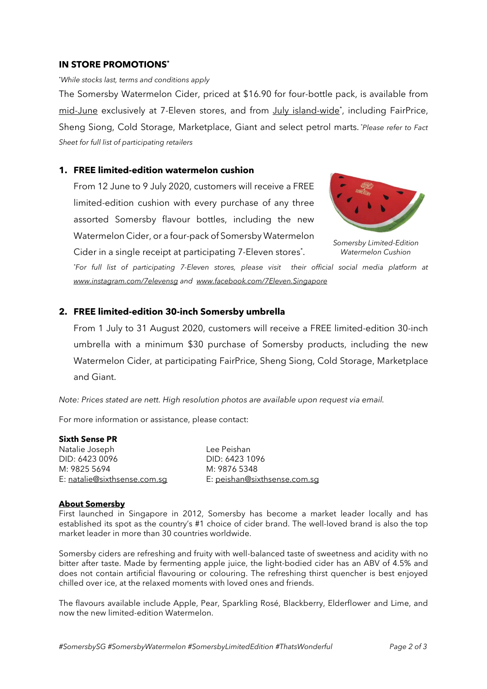## **IN STORE PROMOTIONS\***

#### \**While stocks last, terms and conditions apply*

The Somersby Watermelon Cider, priced at \$16.90 for four-bottle pack, is available from mid-June exclusively at 7-Eleven stores, and from July island-wide<sup>\*</sup>, including FairPrice, Sheng Siong, Cold Storage, Marketplace, Giant and select petrol marts. *\*Please refer to Fact Sheet for full list of participating retailers*

## **1. FREE limited-edition watermelon cushion**

From 12 June to 9 July 2020, customers will receive a FREE limited-edition cushion with every purchase of any three assorted Somersby flavour bottles, including the new Watermelon Cider, or a four-pack of Somersby Watermelon Cider in a single receipt at participating 7-Eleven stores<sup>\*</sup>.



*Somersby Limited-Edition Watermelon Cushion*

*\*For full list of participating 7-Eleven stores, please visit their official social media platform at [www.instagram.com/7elevensg](http://www.instagram.com/7elevensg) and [www.facebook.com/7Eleven.Singapore](http://www.facebook.com/7Eleven.Singapore)*

## **2. FREE limited-edition 30-inch Somersby umbrella**

From 1 July to 31 August 2020, customers will receive a FREE limited-edition 30-inch umbrella with a minimum \$30 purchase of Somersby products, including the new Watermelon Cider, at participating FairPrice, Sheng Siong, Cold Storage, Marketplace and Giant.

*Note: Prices stated are nett. High resolution photos are available upon request via email.*

For more information or assistance, please contact:

#### **Sixth Sense PR**

Natalie Joseph Lee Peishan DID: 6423 0096 DID: 6423 1096 M: 9825 5694 M: 9876 5348

E: [natalie@sixthsense.com.sg](mailto:natalie@sixthsense.com.sg) E: [peishan@sixthsense.com.sg](mailto:peishan@sixthsense.com.sg)

#### **About Somersby**

First launched in Singapore in 2012, Somersby has become a market leader locally and has established its spot as the country's #1 choice of cider brand. The well-loved brand is also the top market leader in more than 30 countries worldwide.

Somersby ciders are refreshing and fruity with well-balanced taste of sweetness and acidity with no bitter after taste. Made by fermenting apple juice, the light-bodied cider has an ABV of 4.5% and does not contain artificial flavouring or colouring. The refreshing thirst quencher is best enjoyed chilled over ice, at the relaxed moments with loved ones and friends.

The flavours available include Apple, Pear, Sparkling Rosé, Blackberry, Elderflower and Lime, and now the new limited-edition Watermelon.